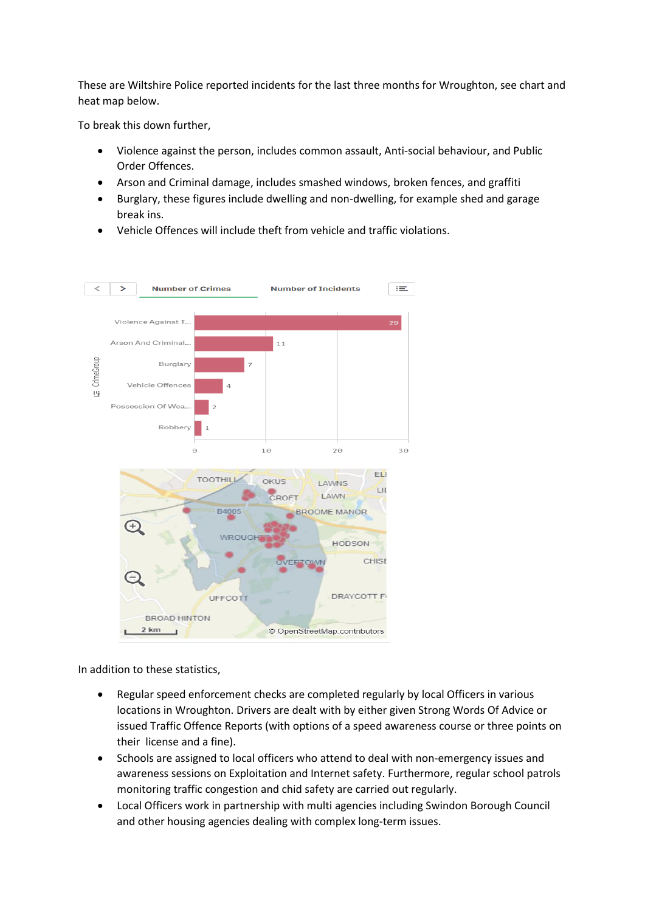These are Wiltshire Police reported incidents for the last three months for Wroughton, see chart and heat map below.

To break this down further,

- Violence against the person, includes common assault, Anti-social behaviour, and Public Order Offences.
- Arson and Criminal damage, includes smashed windows, broken fences, and graffiti
- Burglary, these figures include dwelling and non-dwelling, for example shed and garage break ins.
- Vehicle Offences will include theft from vehicle and traffic violations.



In addition to these statistics,

- Regular speed enforcement checks are completed regularly by local Officers in various locations in Wroughton. Drivers are dealt with by either given Strong Words Of Advice or issued Traffic Offence Reports (with options of a speed awareness course or three points on their license and a fine).
- Schools are assigned to local officers who attend to deal with non-emergency issues and awareness sessions on Exploitation and Internet safety. Furthermore, regular school patrols monitoring traffic congestion and chid safety are carried out regularly.
- Local Officers work in partnership with multi agencies including Swindon Borough Council and other housing agencies dealing with complex long-term issues.